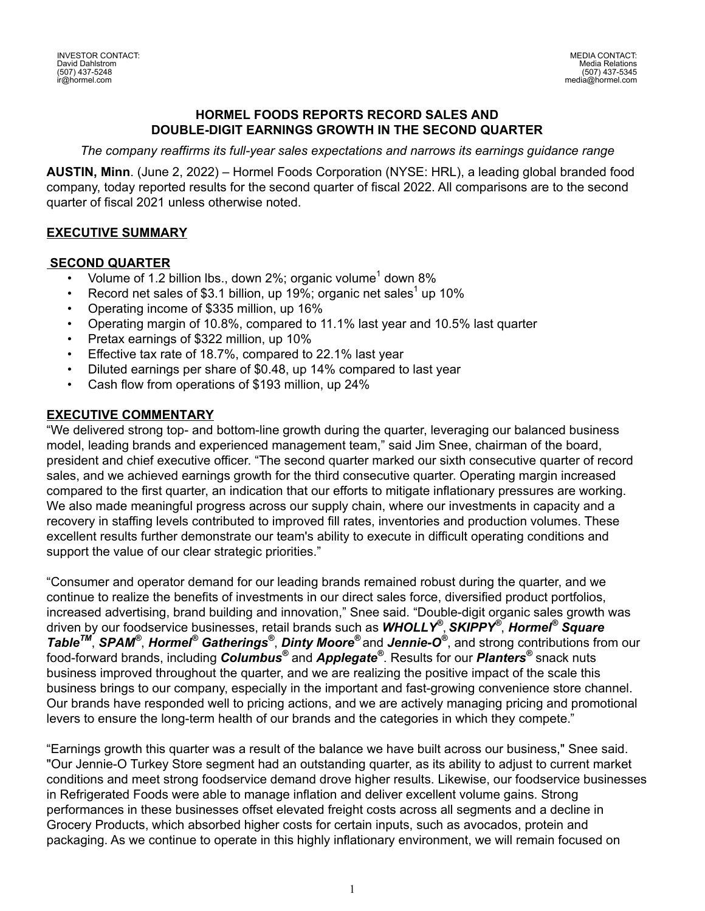#### **HORMEL FOODS REPORTS RECORD SALES AND DOUBLE-DIGIT EARNINGS GROWTH IN THE SECOND QUARTER**

*The company reaffirms its full-year sales expectations and narrows its earnings guidance range* 

**AUSTIN, Minn**. (June 2, 2022) – Hormel Foods Corporation (NYSE: HRL), a leading global branded food company, today reported results for the second quarter of fiscal 2022. All comparisons are to the second quarter of fiscal 2021 unless otherwise noted.

## **EXECUTIVE SUMMARY**

#### **SECOND QUARTER**

- Volume of 1.2 billion lbs., down 2%; organic volume<sup>1</sup> down 8%
- Record net sales of \$3.1 billion, up 19%; organic net sales<sup>1</sup> up 10%
- Operating income of \$335 million, up 16%
- Operating margin of 10.8%, compared to 11.1% last year and 10.5% last quarter
- Pretax earnings of \$322 million, up 10%
- Effective tax rate of 18.7%, compared to 22.1% last year
- Diluted earnings per share of \$0.48, up 14% compared to last year
- Cash flow from operations of \$193 million, up 24%

#### **EXECUTIVE COMMENTARY**

"We delivered strong top- and bottom-line growth during the quarter, leveraging our balanced business model, leading brands and experienced management team," said Jim Snee, chairman of the board, president and chief executive officer. "The second quarter marked our sixth consecutive quarter of record sales, and we achieved earnings growth for the third consecutive quarter. Operating margin increased compared to the first quarter, an indication that our efforts to mitigate inflationary pressures are working. We also made meaningful progress across our supply chain, where our investments in capacity and a recovery in staffing levels contributed to improved fill rates, inventories and production volumes. These excellent results further demonstrate our team's ability to execute in difficult operating conditions and support the value of our clear strategic priorities."

"Consumer and operator demand for our leading brands remained robust during the quarter, and we continue to realize the benefits of investments in our direct sales force, diversified product portfolios, increased advertising, brand building and innovation," Snee said. "Double-digit organic sales growth was driven by our foodservice businesses, retail brands such as *WHOLLY®* , *SKIPPY®* , *Hormel® Square TableTM* , *SPAM®* , *Hormel® Gatherings®* , *Dinty Moore®* and *Jennie-O®* , and strong contributions from our food-forward brands, including *Columbus®* and *Applegate®* . Results for our *Planters®* snack nuts business improved throughout the quarter, and we are realizing the positive impact of the scale this business brings to our company, especially in the important and fast-growing convenience store channel. Our brands have responded well to pricing actions, and we are actively managing pricing and promotional levers to ensure the long-term health of our brands and the categories in which they compete."

"Earnings growth this quarter was a result of the balance we have built across our business," Snee said. "Our Jennie-O Turkey Store segment had an outstanding quarter, as its ability to adjust to current market conditions and meet strong foodservice demand drove higher results. Likewise, our foodservice businesses in Refrigerated Foods were able to manage inflation and deliver excellent volume gains. Strong performances in these businesses offset elevated freight costs across all segments and a decline in Grocery Products, which absorbed higher costs for certain inputs, such as avocados, protein and packaging. As we continue to operate in this highly inflationary environment, we will remain focused on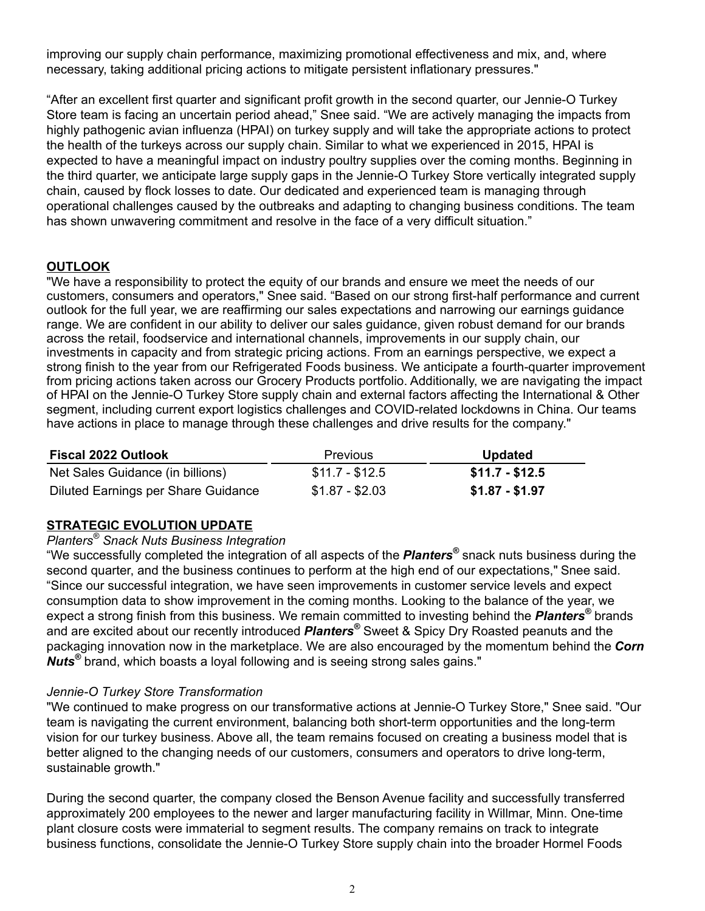improving our supply chain performance, maximizing promotional effectiveness and mix, and, where necessary, taking additional pricing actions to mitigate persistent inflationary pressures."

"After an excellent first quarter and significant profit growth in the second quarter, our Jennie-O Turkey Store team is facing an uncertain period ahead," Snee said. "We are actively managing the impacts from highly pathogenic avian influenza (HPAI) on turkey supply and will take the appropriate actions to protect the health of the turkeys across our supply chain. Similar to what we experienced in 2015, HPAI is expected to have a meaningful impact on industry poultry supplies over the coming months. Beginning in the third quarter, we anticipate large supply gaps in the Jennie-O Turkey Store vertically integrated supply chain, caused by flock losses to date. Our dedicated and experienced team is managing through operational challenges caused by the outbreaks and adapting to changing business conditions. The team has shown unwavering commitment and resolve in the face of a very difficult situation."

## **OUTLOOK**

"We have a responsibility to protect the equity of our brands and ensure we meet the needs of our customers, consumers and operators," Snee said. "Based on our strong first-half performance and current outlook for the full year, we are reaffirming our sales expectations and narrowing our earnings guidance range. We are confident in our ability to deliver our sales guidance, given robust demand for our brands across the retail, foodservice and international channels, improvements in our supply chain, our investments in capacity and from strategic pricing actions. From an earnings perspective, we expect a strong finish to the year from our Refrigerated Foods business. We anticipate a fourth-quarter improvement from pricing actions taken across our Grocery Products portfolio. Additionally, we are navigating the impact of HPAI on the Jennie-O Turkey Store supply chain and external factors affecting the International & Other segment, including current export logistics challenges and COVID-related lockdowns in China. Our teams have actions in place to manage through these challenges and drive results for the company."

| <b>Fiscal 2022 Outlook</b>          | Previous        | <b>Updated</b>  |
|-------------------------------------|-----------------|-----------------|
| Net Sales Guidance (in billions)    | $$11.7 - $12.5$ | $$11.7 - $12.5$ |
| Diluted Earnings per Share Guidance | $$1.87 - $2.03$ | $$1.87 - $1.97$ |

## **STRATEGIC EVOLUTION UPDATE**

#### *Planters® Snack Nuts Business Integration*

"We successfully completed the integration of all aspects of the *Planters®* snack nuts business during the second quarter, and the business continues to perform at the high end of our expectations," Snee said. "Since our successful integration, we have seen improvements in customer service levels and expect consumption data to show improvement in the coming months. Looking to the balance of the year, we expect a strong finish from this business. We remain committed to investing behind the *Planters®* brands and are excited about our recently introduced *Planters®* Sweet & Spicy Dry Roasted peanuts and the packaging innovation now in the marketplace. We are also encouraged by the momentum behind the *Corn Nuts®* brand, which boasts a loyal following and is seeing strong sales gains."

#### *Jennie-O Turkey Store Transformation*

"We continued to make progress on our transformative actions at Jennie-O Turkey Store," Snee said. "Our team is navigating the current environment, balancing both short-term opportunities and the long-term vision for our turkey business. Above all, the team remains focused on creating a business model that is better aligned to the changing needs of our customers, consumers and operators to drive long-term, sustainable growth."

During the second quarter, the company closed the Benson Avenue facility and successfully transferred approximately 200 employees to the newer and larger manufacturing facility in Willmar, Minn. One-time plant closure costs were immaterial to segment results. The company remains on track to integrate business functions, consolidate the Jennie-O Turkey Store supply chain into the broader Hormel Foods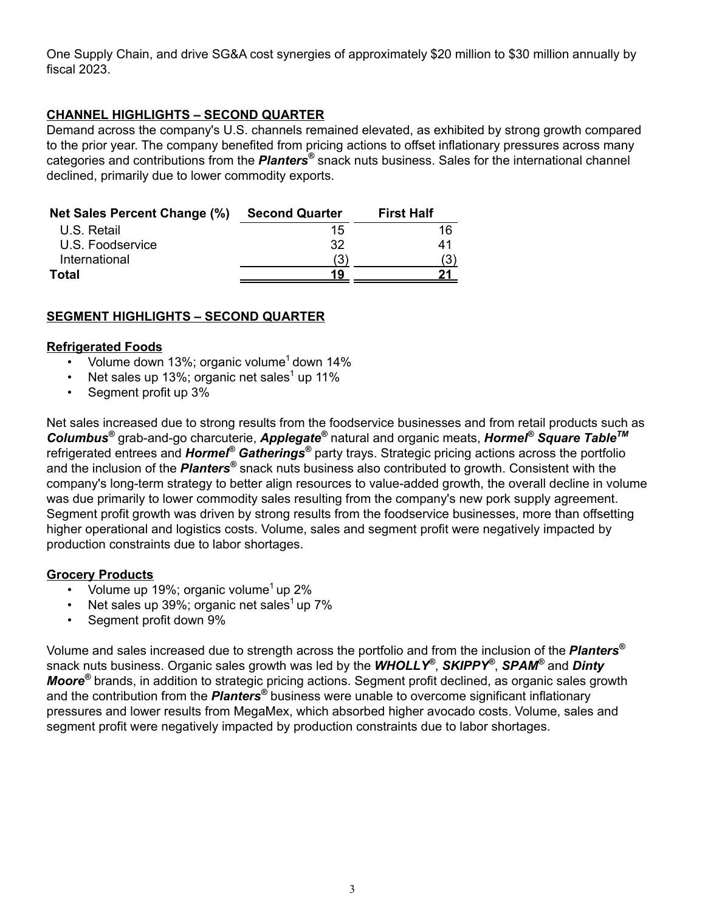One Supply Chain, and drive SG&A cost synergies of approximately \$20 million to \$30 million annually by fiscal 2023.

# **CHANNEL HIGHLIGHTS – SECOND QUARTER**

Demand across the company's U.S. channels remained elevated, as exhibited by strong growth compared to the prior year. The company benefited from pricing actions to offset inflationary pressures across many categories and contributions from the *Planters*<sup>®</sup> snack nuts business. Sales for the international channel declined, primarily due to lower commodity exports.

| <b>Net Sales Percent Change (%)</b> | <b>Second Quarter</b> | <b>First Half</b> |
|-------------------------------------|-----------------------|-------------------|
| U.S. Retail                         | 15                    | 16                |
| U.S. Foodservice                    | 32                    | 41                |
| International                       | (3)                   |                   |
| Total                               | 19                    |                   |

## **SEGMENT HIGHLIGHTS – SECOND QUARTER**

#### **Refrigerated Foods**

- Volume down 13%; organic volume<sup>1</sup> down 14%
- Net sales up 13%; organic net sales<sup>1</sup> up 11%
- Segment profit up 3%

Net sales increased due to strong results from the foodservice businesses and from retail products such as *Columbus®* grab-and-go charcuterie, *Applegate®* natural and organic meats, *Hormel® Square TableTM* refrigerated entrees and *Hormel® Gatherings®* party trays. Strategic pricing actions across the portfolio and the inclusion of the *Planters*<sup>®</sup> snack nuts business also contributed to growth. Consistent with the company's long-term strategy to better align resources to value-added growth, the overall decline in volume was due primarily to lower commodity sales resulting from the company's new pork supply agreement. Segment profit growth was driven by strong results from the foodservice businesses, more than offsetting higher operational and logistics costs. Volume, sales and segment profit were negatively impacted by production constraints due to labor shortages.

#### **Grocery Products**

- Volume up 19%; organic volume<sup>1</sup> up 2%
- Net sales up 39%; organic net sales<sup>1</sup> up 7%
- Segment profit down 9%

Volume and sales increased due to strength across the portfolio and from the inclusion of the *Planters®* snack nuts business. Organic sales growth was led by the *WHOLLY®* , *SKIPPY®* , *SPAM®* and *Dinty Moore®* brands, in addition to strategic pricing actions. Segment profit declined, as organic sales growth and the contribution from the *Planters*<sup>®</sup> business were unable to overcome significant inflationary pressures and lower results from MegaMex, which absorbed higher avocado costs. Volume, sales and segment profit were negatively impacted by production constraints due to labor shortages.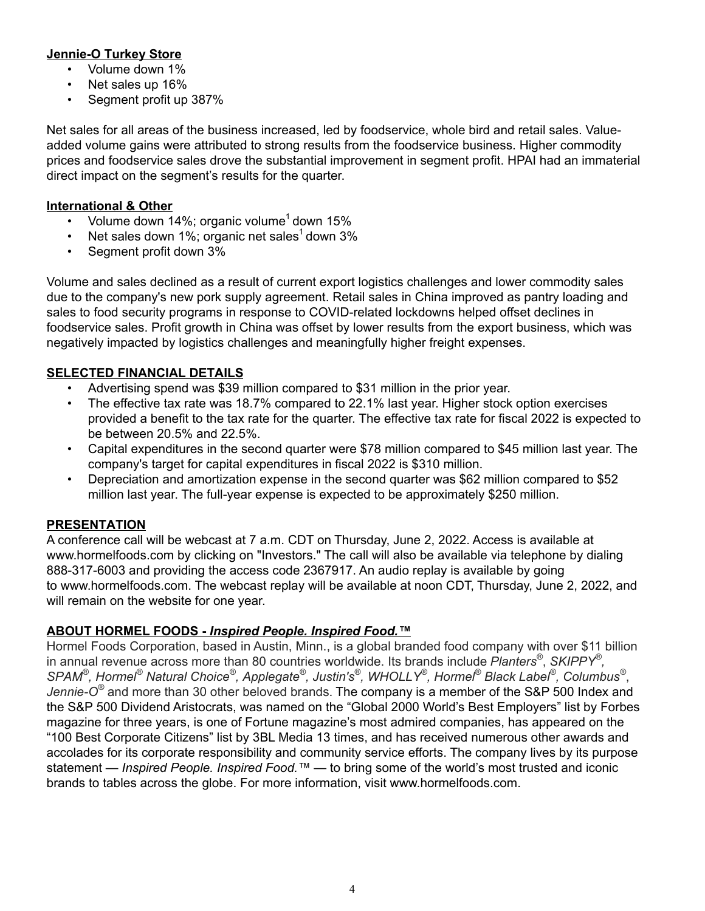# **Jennie-O Turkey Store**

- Volume down 1%
- Net sales up 16%
- Segment profit up 387%

Net sales for all areas of the business increased, led by foodservice, whole bird and retail sales. Valueadded volume gains were attributed to strong results from the foodservice business. Higher commodity prices and foodservice sales drove the substantial improvement in segment profit. HPAI had an immaterial direct impact on the segment's results for the quarter.

## **International & Other**

- Volume down 14%; organic volume<sup>1</sup> down 15%
- Net sales down 1%; organic net sales<sup>1</sup> down 3%
- Segment profit down 3%

Volume and sales declined as a result of current export logistics challenges and lower commodity sales due to the company's new pork supply agreement. Retail sales in China improved as pantry loading and sales to food security programs in response to COVID-related lockdowns helped offset declines in foodservice sales. Profit growth in China was offset by lower results from the export business, which was negatively impacted by logistics challenges and meaningfully higher freight expenses.

# **SELECTED FINANCIAL DETAILS**

- Advertising spend was \$39 million compared to \$31 million in the prior year.
- The effective tax rate was 18.7% compared to 22.1% last year. Higher stock option exercises provided a benefit to the tax rate for the quarter. The effective tax rate for fiscal 2022 is expected to be between 20.5% and 22.5%.
- Capital expenditures in the second quarter were \$78 million compared to \$45 million last year. The company's target for capital expenditures in fiscal 2022 is \$310 million.
- Depreciation and amortization expense in the second quarter was \$62 million compared to \$52 million last year. The full-year expense is expected to be approximately \$250 million.

## **PRESENTATION**

A conference call will be webcast at 7 a.m. CDT on Thursday, June 2, 2022. Access is available at www.hormelfoods.com by clicking on "Investors." The call will also be available via telephone by dialing 888-317-6003 and providing the access code 2367917. An audio replay is available by going to www.hormelfoods.com. The webcast replay will be available at noon CDT, Thursday, June 2, 2022, and will remain on the website for one year.

## **ABOUT HORMEL FOODS -** *Inspired People. Inspired Food.™*

Hormel Foods Corporation, based in Austin, Minn., is a global branded food company with over \$11 billion in annual revenue across more than 80 countries worldwide. Its brands include *Planters®* , *SKIPPY® ,*  SPAM®, Hormel® Natural Choice®, Applegate®, Justin's®, WHOLLY®, Hormel® Black Label®, Columbus®, *Jennie-O®* and more than 30 other beloved brands. The company is a member of the S&P 500 Index and the S&P 500 Dividend Aristocrats, was named on the "Global 2000 World's Best Employers" list by Forbes magazine for three years, is one of Fortune magazine's most admired companies, has appeared on the "100 Best Corporate Citizens" list by 3BL Media 13 times, and has received numerous other awards and accolades for its corporate responsibility and community service efforts. The company lives by its purpose statement — *Inspired People. Inspired Food.™* — to bring some of the world's most trusted and iconic brands to tables across the globe. For more information, visit www.hormelfoods.com.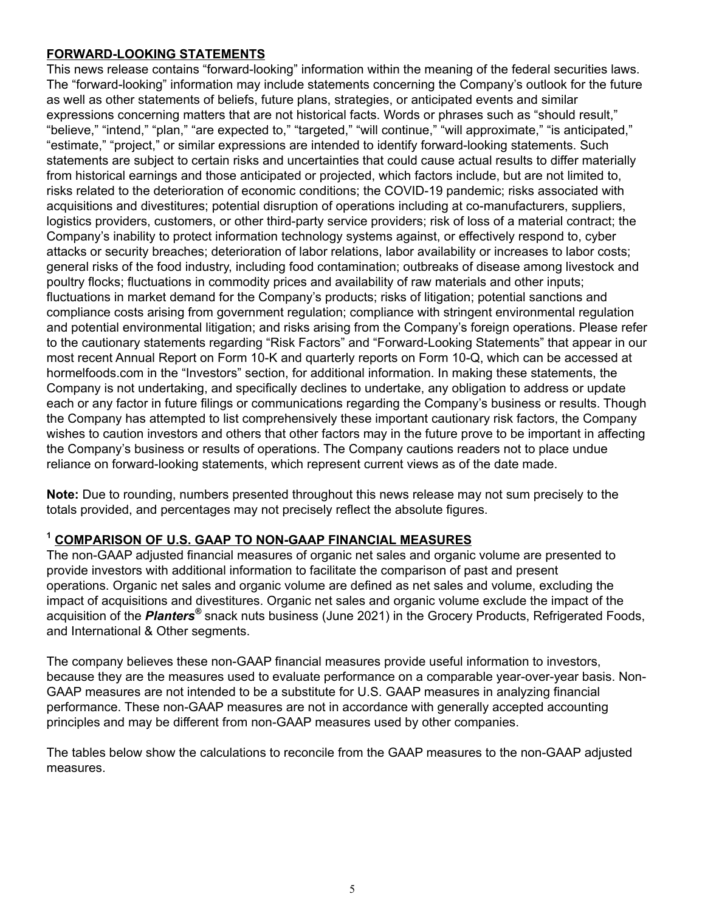## **FORWARD-LOOKING STATEMENTS**

This news release contains "forward-looking" information within the meaning of the federal securities laws. The "forward-looking" information may include statements concerning the Company's outlook for the future as well as other statements of beliefs, future plans, strategies, or anticipated events and similar expressions concerning matters that are not historical facts. Words or phrases such as "should result," "believe," "intend," "plan," "are expected to," "targeted," "will continue," "will approximate," "is anticipated," "estimate," "project," or similar expressions are intended to identify forward-looking statements. Such statements are subject to certain risks and uncertainties that could cause actual results to differ materially from historical earnings and those anticipated or projected, which factors include, but are not limited to, risks related to the deterioration of economic conditions; the COVID-19 pandemic; risks associated with acquisitions and divestitures; potential disruption of operations including at co-manufacturers, suppliers, logistics providers, customers, or other third-party service providers; risk of loss of a material contract; the Company's inability to protect information technology systems against, or effectively respond to, cyber attacks or security breaches; deterioration of labor relations, labor availability or increases to labor costs; general risks of the food industry, including food contamination; outbreaks of disease among livestock and poultry flocks; fluctuations in commodity prices and availability of raw materials and other inputs; fluctuations in market demand for the Company's products; risks of litigation; potential sanctions and compliance costs arising from government regulation; compliance with stringent environmental regulation and potential environmental litigation; and risks arising from the Company's foreign operations. Please refer to the cautionary statements regarding "Risk Factors" and "Forward-Looking Statements" that appear in our most recent Annual Report on Form 10-K and quarterly reports on Form 10-Q, which can be accessed at hormelfoods.com in the "Investors" section, for additional information. In making these statements, the Company is not undertaking, and specifically declines to undertake, any obligation to address or update each or any factor in future filings or communications regarding the Company's business or results. Though the Company has attempted to list comprehensively these important cautionary risk factors, the Company wishes to caution investors and others that other factors may in the future prove to be important in affecting the Company's business or results of operations. The Company cautions readers not to place undue reliance on forward-looking statements, which represent current views as of the date made.

**Note:** Due to rounding, numbers presented throughout this news release may not sum precisely to the totals provided, and percentages may not precisely reflect the absolute figures.

## **<sup>1</sup> COMPARISON OF U.S. GAAP TO NON-GAAP FINANCIAL MEASURES**

The non-GAAP adjusted financial measures of organic net sales and organic volume are presented to provide investors with additional information to facilitate the comparison of past and present operations. Organic net sales and organic volume are defined as net sales and volume, excluding the impact of acquisitions and divestitures. Organic net sales and organic volume exclude the impact of the acquisition of the *Planters*<sup>®</sup> snack nuts business (June 2021) in the Grocery Products, Refrigerated Foods, and International & Other segments.

The company believes these non-GAAP financial measures provide useful information to investors, because they are the measures used to evaluate performance on a comparable year-over-year basis. Non-GAAP measures are not intended to be a substitute for U.S. GAAP measures in analyzing financial performance. These non-GAAP measures are not in accordance with generally accepted accounting principles and may be different from non-GAAP measures used by other companies.

The tables below show the calculations to reconcile from the GAAP measures to the non-GAAP adjusted measures.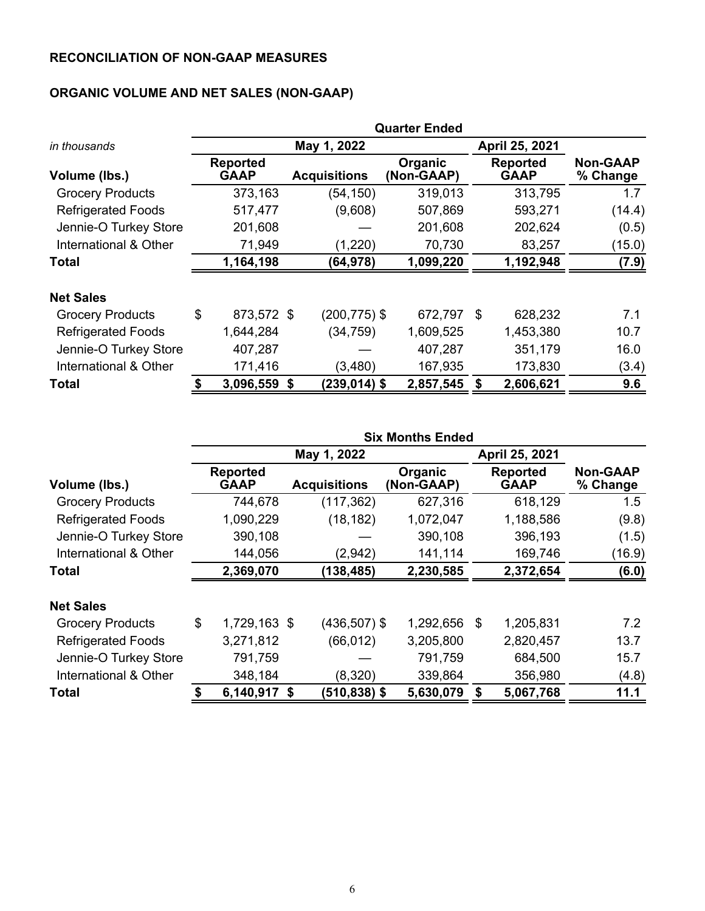# **RECONCILIATION OF NON-GAAP MEASURES**

# **ORGANIC VOLUME AND NET SALES (NON-GAAP)**

|                           | <b>Quarter Ended</b> |                                |    |                                                     |           |                |                                |                             |  |  |
|---------------------------|----------------------|--------------------------------|----|-----------------------------------------------------|-----------|----------------|--------------------------------|-----------------------------|--|--|
| in thousands              |                      |                                |    | May 1, 2022                                         |           | April 25, 2021 |                                |                             |  |  |
| Volume (lbs.)             |                      | <b>Reported</b><br><b>GAAP</b> |    | <b>Organic</b><br><b>Acquisitions</b><br>(Non-GAAP) |           |                | <b>Reported</b><br><b>GAAP</b> | <b>Non-GAAP</b><br>% Change |  |  |
| <b>Grocery Products</b>   |                      | 373,163                        |    | (54, 150)                                           | 319,013   |                | 313,795                        | 1.7                         |  |  |
| <b>Refrigerated Foods</b> |                      | 517,477                        |    | (9,608)                                             | 507,869   |                | 593,271                        | (14.4)                      |  |  |
| Jennie-O Turkey Store     |                      | 201,608                        |    | 201,608                                             |           |                | 202,624                        | (0.5)                       |  |  |
| International & Other     |                      | 71,949                         |    | (1,220)                                             | 70,730    |                | 83,257                         | (15.0)                      |  |  |
| Total                     |                      | 1,164,198                      |    | (64,978)                                            | 1,099,220 |                | 1,192,948                      | (7.9)                       |  |  |
| <b>Net Sales</b>          |                      |                                |    |                                                     |           |                |                                |                             |  |  |
| <b>Grocery Products</b>   | \$                   | 873,572 \$                     |    | $(200, 775)$ \$                                     | 672,797   | - \$           | 628,232                        | 7.1                         |  |  |
| <b>Refrigerated Foods</b> |                      | 1,644,284                      |    | (34, 759)                                           | 1,609,525 |                | 1,453,380                      | 10.7                        |  |  |
| Jennie-O Turkey Store     |                      | 407,287                        |    |                                                     | 407,287   |                | 351,179                        | 16.0                        |  |  |
| International & Other     |                      | 171,416                        |    | (3,480)                                             | 167,935   |                | 173,830                        | (3.4)                       |  |  |
| <b>Total</b>              | \$                   | 3,096,559                      | \$ | $(239, 014)$ \$                                     | 2,857,545 | \$             | 2,606,621                      | 9.6                         |  |  |

|                           |    | <b>Six Months Ended</b>        |  |                     |                              |                                |           |                             |  |  |  |
|---------------------------|----|--------------------------------|--|---------------------|------------------------------|--------------------------------|-----------|-----------------------------|--|--|--|
|                           |    |                                |  | May 1, 2022         |                              | April 25, 2021                 |           |                             |  |  |  |
| Volume (lbs.)             |    | <b>Reported</b><br><b>GAAP</b> |  | <b>Acquisitions</b> | <b>Organic</b><br>(Non-GAAP) | <b>Reported</b><br><b>GAAP</b> |           | <b>Non-GAAP</b><br>% Change |  |  |  |
| <b>Grocery Products</b>   |    | 744,678                        |  | (117, 362)          | 627,316                      |                                | 618,129   | 1.5                         |  |  |  |
| <b>Refrigerated Foods</b> |    | 1,090,229                      |  | (18, 182)           | 1,072,047                    |                                | 1,188,586 | (9.8)                       |  |  |  |
| Jennie-O Turkey Store     |    | 390,108                        |  |                     | 390,108                      |                                | 396,193   | (1.5)                       |  |  |  |
| International & Other     |    | 144,056                        |  | (2,942)             | 141,114                      |                                | 169,746   | (16.9)                      |  |  |  |
| <b>Total</b>              |    | 2,369,070                      |  | 138,485)            | 2,230,585                    |                                | 2,372,654 | (6.0)                       |  |  |  |
| <b>Net Sales</b>          |    |                                |  |                     |                              |                                |           |                             |  |  |  |
| <b>Grocery Products</b>   | \$ | 1,729,163 \$                   |  | (436,507) \$        | 1,292,656                    | \$                             | 1,205,831 | 7.2                         |  |  |  |
| <b>Refrigerated Foods</b> |    | 3,271,812                      |  | (66, 012)           | 3,205,800                    |                                | 2,820,457 | 13.7                        |  |  |  |
| Jennie-O Turkey Store     |    | 791,759                        |  |                     | 791,759                      |                                | 684,500   | 15.7                        |  |  |  |
| International & Other     |    | 348,184                        |  | (8,320)             | 339,864                      |                                | 356,980   | (4.8)                       |  |  |  |
| Total                     | \$ | 6,140,917 \$                   |  | $(510, 838)$ \$     | 5,630,079                    | \$                             | 5,067,768 | 11.1                        |  |  |  |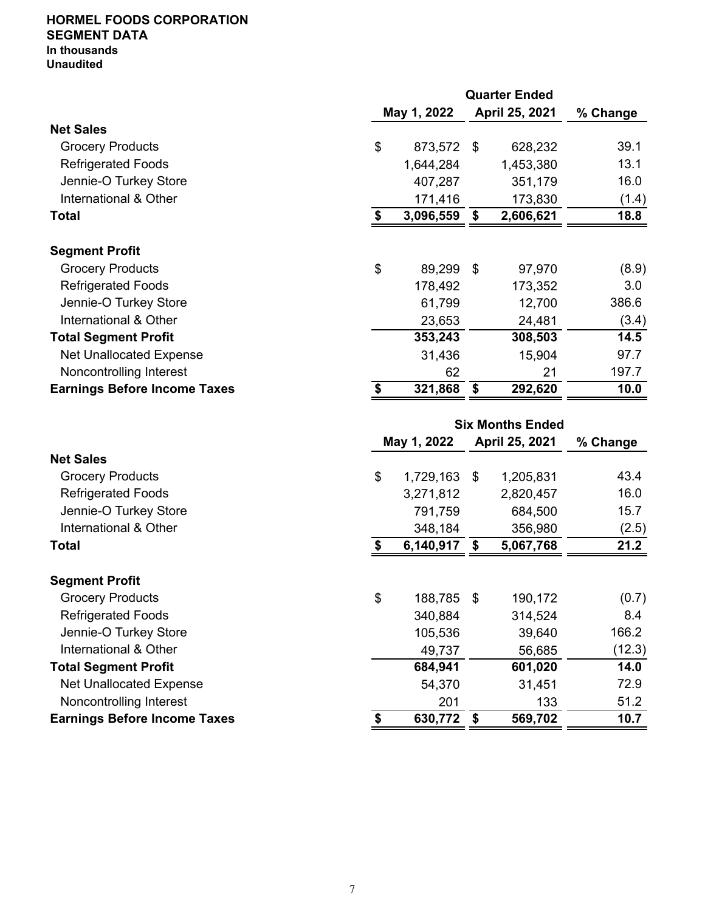#### **HORMEL FOODS CORPORATION SEGMENT DATA In thousands Unaudited**

**Quarter Ended May 1, 2022 April 25, 2021 % Change Net Sales** Grocery Products 628,232 39.1 Refrigerated Foods 1,644,284 1,453,380 13.1 Jennie-O Turkey Store **16.0** and 16.0 and 16.0 and 16.0 and 16.0 and 16.0 and 16.0 International & Other 171,416 173,830 (1.4) **Total 18.8 5 18.9 <b>6 18.9 5 18.9 5 18.9 5 18.9 5 18.9 5 18.8 Segment Profit** Grocery Products \$ 89,299 \$ 97,970 (8.9) Refrigerated Foods 3.0 Jennie-O Turkey Store 61,799 12,700 386.6 International & Other 23,653 24,481 (3.4) **Total Segment Profit** 14.5 Net Unallocated Expense 27.7 Noncontrolling Interest 62 21 197.7 **Earnings Before Income Taxes 10.0 \$** 321,868  $\overline{\$}$  **321,868**  $\overline{\$}$  **292,620 10.0** 

|                                     | <b>Six Months Ended</b> |           |    |                |          |  |  |  |  |  |
|-------------------------------------|-------------------------|-----------|----|----------------|----------|--|--|--|--|--|
|                                     | May 1, 2022             |           |    | April 25, 2021 | % Change |  |  |  |  |  |
| <b>Net Sales</b>                    |                         |           |    |                |          |  |  |  |  |  |
| <b>Grocery Products</b>             | \$                      | 1,729,163 | \$ | 1,205,831      | 43.4     |  |  |  |  |  |
| <b>Refrigerated Foods</b>           |                         | 3,271,812 |    | 2,820,457      | 16.0     |  |  |  |  |  |
| Jennie-O Turkey Store               |                         | 791,759   |    | 684,500        | 15.7     |  |  |  |  |  |
| International & Other               |                         | 348,184   |    | 356,980        | (2.5)    |  |  |  |  |  |
| Total                               | \$                      | 6,140,917 | \$ | 5,067,768      | 21.2     |  |  |  |  |  |
| <b>Segment Profit</b>               |                         |           |    |                |          |  |  |  |  |  |
| <b>Grocery Products</b>             | \$                      | 188,785   | \$ | 190,172        | (0.7)    |  |  |  |  |  |
| <b>Refrigerated Foods</b>           |                         | 340,884   |    | 314,524        | 8.4      |  |  |  |  |  |
| Jennie-O Turkey Store               |                         | 105,536   |    | 39,640         | 166.2    |  |  |  |  |  |
| International & Other               |                         | 49,737    |    | 56,685         | (12.3)   |  |  |  |  |  |
| <b>Total Segment Profit</b>         |                         | 684,941   |    | 601,020        | 14.0     |  |  |  |  |  |
| <b>Net Unallocated Expense</b>      |                         | 54,370    |    | 31,451         | 72.9     |  |  |  |  |  |
| Noncontrolling Interest             |                         | 201       |    | 133            | 51.2     |  |  |  |  |  |
| <b>Earnings Before Income Taxes</b> | \$                      | 630,772   | \$ | 569,702        | 10.7     |  |  |  |  |  |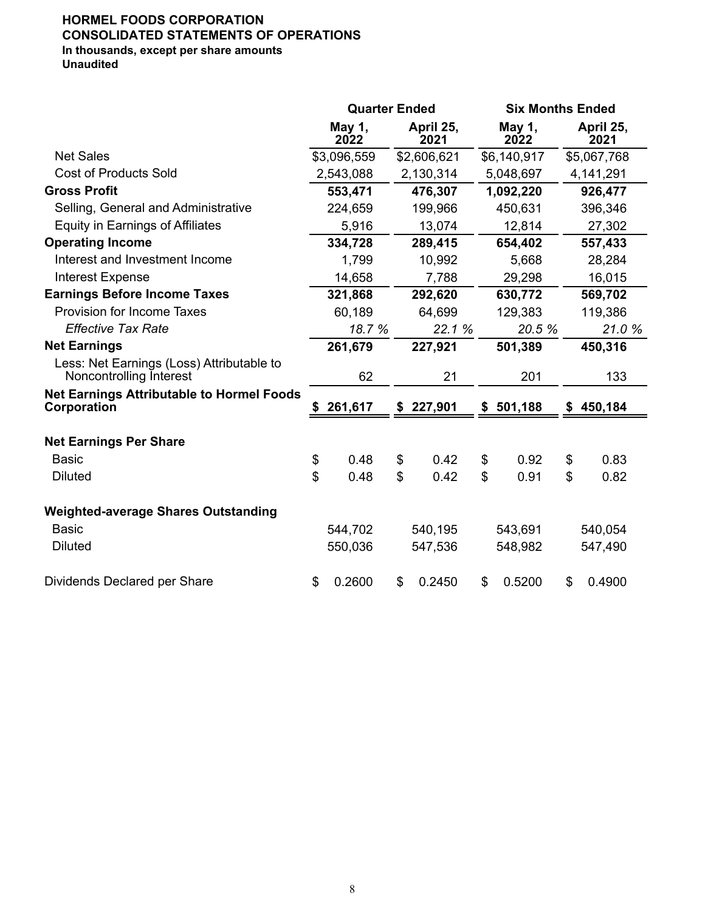# **HORMEL FOODS CORPORATION CONSOLIDATED STATEMENTS OF OPERATIONS In thousands, except per share amounts**

**Unaudited**

|                                                                      | <b>Quarter Ended</b> |                |                   | <b>Six Months Ended</b> |                |                   |  |  |
|----------------------------------------------------------------------|----------------------|----------------|-------------------|-------------------------|----------------|-------------------|--|--|
|                                                                      | May 1,<br>2022       |                | April 25,<br>2021 | May 1,<br>2022          |                | April 25,<br>2021 |  |  |
| <b>Net Sales</b>                                                     | \$3,096,559          |                | \$2,606,621       | \$6,140,917             |                | \$5,067,768       |  |  |
| <b>Cost of Products Sold</b>                                         | 2,543,088            |                | 2,130,314         | 5,048,697               |                | 4,141,291         |  |  |
| <b>Gross Profit</b>                                                  | 553,471              |                | 476,307           | 1,092,220               |                | 926,477           |  |  |
| Selling, General and Administrative                                  | 224,659              |                | 199,966           | 450,631                 |                | 396,346           |  |  |
| <b>Equity in Earnings of Affiliates</b>                              | 5,916                |                | 13,074            | 12,814                  |                | 27,302            |  |  |
| <b>Operating Income</b>                                              | 334,728              |                | 289,415           | 654,402                 |                | 557,433           |  |  |
| Interest and Investment Income                                       | 1,799                |                | 10,992            | 5,668                   |                | 28,284            |  |  |
| Interest Expense                                                     | 14,658               |                | 7,788             | 29,298                  |                | 16,015            |  |  |
| <b>Earnings Before Income Taxes</b>                                  | 321,868              |                | 292,620           | 630,772                 |                | 569,702           |  |  |
| <b>Provision for Income Taxes</b>                                    | 60,189               |                | 64,699            | 129,383                 |                | 119,386           |  |  |
| <b>Effective Tax Rate</b>                                            | 18.7 %               |                | 22.1 %            | 20.5 %                  |                | 21.0 %            |  |  |
| <b>Net Earnings</b>                                                  | 261,679              |                | 227,921           | 501,389                 |                | 450,316           |  |  |
| Less: Net Earnings (Loss) Attributable to<br>Noncontrolling Interest | 62                   |                | 21                | 201                     |                | 133               |  |  |
| <b>Net Earnings Attributable to Hormel Foods</b><br>Corporation      | \$<br>261,617        | \$             | 227,901           | \$501,188               | \$             | 450,184           |  |  |
| <b>Net Earnings Per Share</b>                                        |                      |                |                   |                         |                |                   |  |  |
| <b>Basic</b>                                                         | \$<br>0.48           | \$             | 0.42              | \$<br>0.92              | \$             | 0.83              |  |  |
| <b>Diluted</b>                                                       | \$<br>0.48           | $\mathfrak{S}$ | 0.42              | \$<br>0.91              | $\mathfrak{L}$ | 0.82              |  |  |
| <b>Weighted-average Shares Outstanding</b>                           |                      |                |                   |                         |                |                   |  |  |
| <b>Basic</b>                                                         | 544,702              |                | 540,195           | 543,691                 |                | 540,054           |  |  |
| <b>Diluted</b>                                                       | 550,036              |                | 547,536           | 548,982                 |                | 547,490           |  |  |
| Dividends Declared per Share                                         | \$<br>0.2600         | \$             | 0.2450            | \$<br>0.5200            | \$             | 0.4900            |  |  |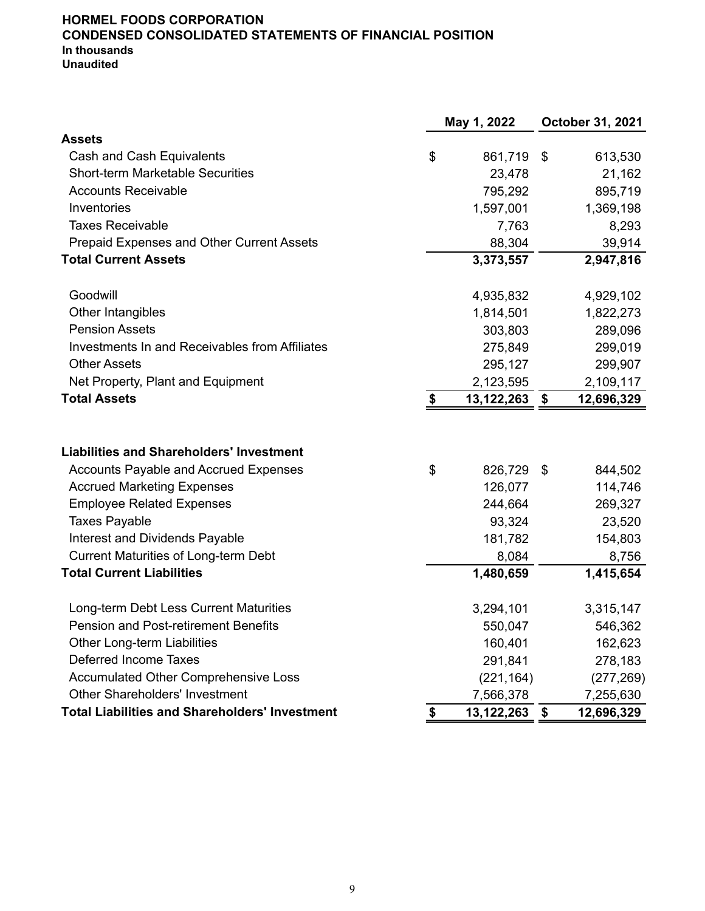#### **HORMEL FOODS CORPORATION CONDENSED CONSOLIDATED STATEMENTS OF FINANCIAL POSITION In thousands Unaudited**

|                                                       | May 1, 2022      |                            | October 31, 2021 |
|-------------------------------------------------------|------------------|----------------------------|------------------|
| <b>Assets</b>                                         |                  |                            |                  |
| Cash and Cash Equivalents                             | \$<br>861,719    | $\boldsymbol{\mathsf{\$}}$ | 613,530          |
| <b>Short-term Marketable Securities</b>               | 23,478           |                            | 21,162           |
| <b>Accounts Receivable</b>                            | 795,292          |                            | 895,719          |
| Inventories                                           | 1,597,001        |                            | 1,369,198        |
| <b>Taxes Receivable</b>                               | 7,763            |                            | 8,293            |
| Prepaid Expenses and Other Current Assets             | 88,304           |                            | 39,914           |
| <b>Total Current Assets</b>                           | 3,373,557        |                            | 2,947,816        |
| Goodwill                                              | 4,935,832        |                            | 4,929,102        |
| Other Intangibles                                     | 1,814,501        |                            | 1,822,273        |
| <b>Pension Assets</b>                                 | 303,803          |                            | 289,096          |
| Investments In and Receivables from Affiliates        | 275,849          |                            | 299,019          |
| <b>Other Assets</b>                                   | 295,127          |                            | 299,907          |
| Net Property, Plant and Equipment                     | 2,123,595        |                            | 2,109,117        |
| <b>Total Assets</b>                                   | \$<br>13,122,263 | $\boldsymbol{\hat{z}}$     | 12,696,329       |
| <b>Liabilities and Shareholders' Investment</b>       |                  |                            |                  |
| <b>Accounts Payable and Accrued Expenses</b>          | \$<br>826,729    | -\$                        | 844,502          |
| <b>Accrued Marketing Expenses</b>                     | 126,077          |                            | 114,746          |
| <b>Employee Related Expenses</b>                      | 244,664          |                            | 269,327          |
| <b>Taxes Payable</b>                                  | 93,324           |                            | 23,520           |
| Interest and Dividends Payable                        | 181,782          |                            | 154,803          |
| <b>Current Maturities of Long-term Debt</b>           | 8,084            |                            | 8,756            |
| <b>Total Current Liabilities</b>                      | 1,480,659        |                            | 1,415,654        |
| Long-term Debt Less Current Maturities                | 3,294,101        |                            | 3,315,147        |
| <b>Pension and Post-retirement Benefits</b>           | 550,047          |                            | 546,362          |
| <b>Other Long-term Liabilities</b>                    | 160,401          |                            | 162,623          |
| Deferred Income Taxes                                 | 291,841          |                            | 278,183          |
| <b>Accumulated Other Comprehensive Loss</b>           | (221, 164)       |                            | (277, 269)       |
| <b>Other Shareholders' Investment</b>                 | 7,566,378        |                            | 7,255,630        |
| <b>Total Liabilities and Shareholders' Investment</b> | \$<br>13,122,263 | \$                         | 12,696,329       |